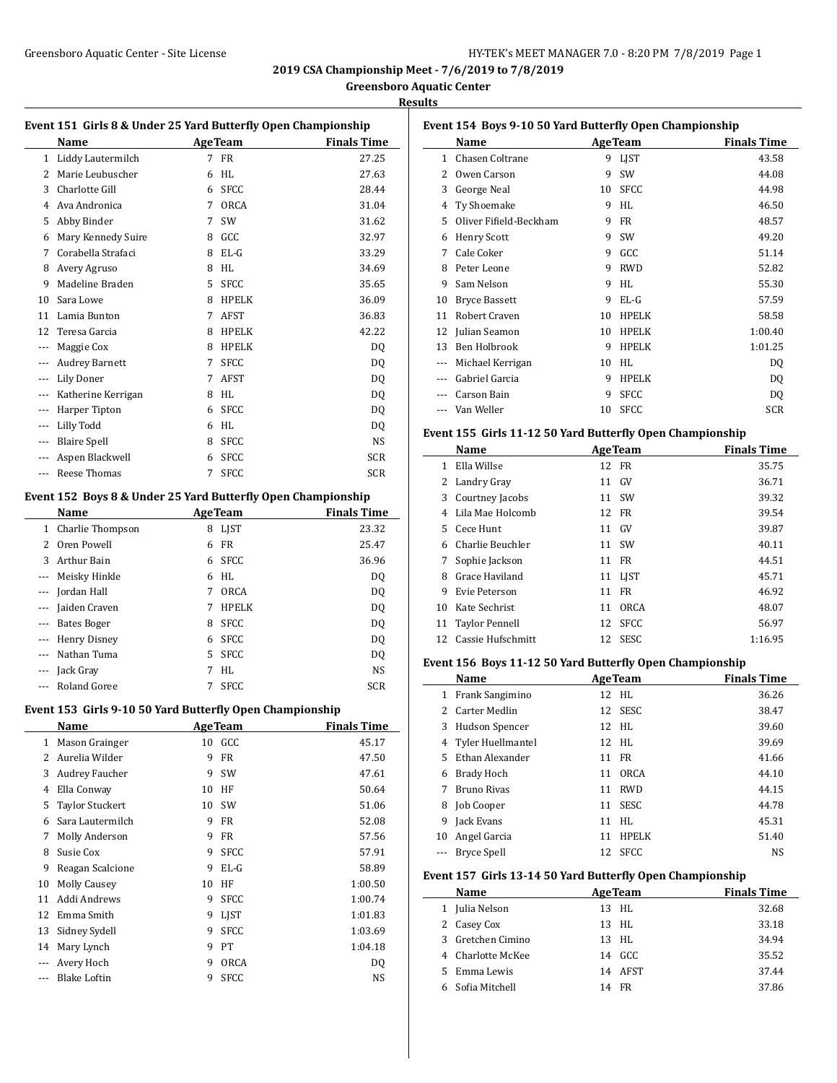# Greensboro Aquatic Center - Site License **HY-TEK's MEET MANAGER 7.0 - 8:20 PM 7/8/2019** Page 1

**2019 CSA Championship Meet - 7/6/2019 to 7/8/2019**

**Greensboro Aquatic Center**

**Results**

 $\overline{a}$ 

|               | Event 151 Girls 8 & Under 25 Yard Butterfly Open Championship |    |                 |                      |
|---------------|---------------------------------------------------------------|----|-----------------|----------------------|
|               | Name                                                          |    | <b>AgeTeam</b>  | <b>Finals Time</b>   |
| 1             | Liddy Lautermilch                                             | 7  | FR              | 27.25                |
| 2             | Marie Leubuscher                                              | 6  | HL              | 27.63                |
| 3             | Charlotte Gill                                                | 6  | <b>SFCC</b>     | 28.44                |
| 4             | Ava Andronica                                                 | 7  | ORCA            | 31.04                |
| 5             | Abby Binder                                                   | 7  | SW              | 31.62                |
| 6             | Mary Kennedy Suire                                            | 8  | GCC             | 32.97                |
| 7             | Corabella Strafaci                                            | 8  | $EL-G$          | 33.29                |
| 8             | Avery Agruso                                                  | 8  | HL              | 34.69                |
| 9             | Madeline Braden                                               | 5  | <b>SFCC</b>     | 35.65                |
| 10            | Sara Lowe                                                     | 8  | <b>HPELK</b>    | 36.09                |
| 11            | Lamia Bunton                                                  | 7  | AFST            | 36.83                |
| 12            | Teresa Garcia                                                 | 8  | HPELK           | 42.22                |
| ---           | Maggie Cox                                                    | 8  | <b>HPELK</b>    | DQ                   |
| ---           | <b>Audrey Barnett</b>                                         | 7  | <b>SFCC</b>     | DQ                   |
| ---           | <b>Lily Doner</b>                                             | 7  | AFST            | DQ                   |
| ---           | Katherine Kerrigan                                            | 8  | HL              | DQ                   |
| ---           | Harper Tipton                                                 | 6  | <b>SFCC</b>     | DQ                   |
| ---           | Lilly Todd                                                    | 6  | HL              | DQ                   |
| ---           | <b>Blaire Spell</b>                                           | 8  | <b>SFCC</b>     | NS                   |
| ---           | Aspen Blackwell                                               | 6  | <b>SFCC</b>     | <b>SCR</b>           |
| $\sim$ $\sim$ | Reese Thomas                                                  | 7  | <b>SFCC</b>     | <b>SCR</b>           |
|               | Event 152 Boys 8 & Under 25 Yard Butterfly Open Championship  |    |                 |                      |
|               | Name                                                          |    | <b>Age Team</b> | <b>Finals Time</b>   |
| $\mathbf{1}$  | Charlie Thompson                                              | 8  | LJST            | 23.32                |
| 2             | Oren Powell                                                   | 6  | <b>FR</b>       | 25.47                |
| 3             | Arthur Bain                                                   | 6  | <b>SFCC</b>     | 36.96                |
| ---           | Meisky Hinkle                                                 | 6  | HL              | DQ                   |
| ---           | Jordan Hall                                                   | 7  | <b>ORCA</b>     | DQ                   |
| ---           | Jaiden Craven                                                 | 7  | <b>HPELK</b>    | DQ                   |
| ---           | <b>Bates Boger</b>                                            | 8  | <b>SFCC</b>     | DQ                   |
| ---           | Henry Disney                                                  | 6  | SFCC            | DQ                   |
| ---           | Nathan Tuma                                                   | 5  | <b>SFCC</b>     | DQ                   |
| ---           | Jack Gray                                                     | 7  | HL              | NS                   |
| ---           | Roland Goree                                                  | 7  | <b>SFCC</b>     | <b>SCR</b>           |
|               |                                                               |    |                 |                      |
|               | Event 153 Girls 9-10 50 Yard Butterfly Open Championship      |    |                 |                      |
|               | <b>Name</b>                                                   |    |                 | Age Team Finals Time |
| 1             | Mason Grainger                                                |    | 10 GCC          | 45.17                |
| 2             | Aurelia Wilder                                                | 9  | FR              | 47.50                |
| 3             | Audrey Faucher                                                | 9  | SW              | 47.61                |
| 4             | Ella Conway                                                   | 10 | HF              | 50.64                |
| 5             | Taylor Stuckert                                               | 10 | SW              | 51.06                |
| 6             | Sara Lautermilch                                              | 9  | FR              | 52.08                |
| 7             | Molly Anderson                                                | 9  | FR              | 57.56                |
| 8             | Susie Cox                                                     | 9  | <b>SFCC</b>     | 57.91                |
| 9             | Reagan Scalcione                                              | 9  | $EL-G$          | 58.89                |
| 10            | <b>Molly Causey</b>                                           | 10 | HF              | 1:00.50              |
| 11            | Addi Andrews                                                  | 9  | <b>SFCC</b>     | 1:00.74              |
| 12            | Emma Smith                                                    | 9  | LJST            | 1:01.83              |
| 13            | Sidney Sydell                                                 | 9  | <b>SFCC</b>     | 1:03.69              |

 Mary Lynch 9 PT 1:04.18 --- Avery Hoch 9 ORCA DQ --- Blake Loftin 9 SFCC NS

|              | Event 154 Boys 9-10 50 Yard Butterfly Open Championship   |    |                |                    |
|--------------|-----------------------------------------------------------|----|----------------|--------------------|
|              | Name                                                      |    | <b>AgeTeam</b> | <b>Finals Time</b> |
| 1            | <b>Chasen Coltrane</b>                                    | 9  | LJST           | 43.58              |
| 2            | Owen Carson                                               | 9  | SW             | 44.08              |
|              | 3 George Neal                                             |    | 10 SFCC        | 44.98              |
|              | 4 Ty Shoemake                                             |    | 9 HL           | 46.50              |
|              | 5 Oliver Fifield-Beckham                                  | 9  | <b>FR</b>      | 48.57              |
|              | 6 Henry Scott                                             | 9  | SW             | 49.20              |
| 7            | Cale Coker                                                | 9  | GCC            | 51.14              |
| 8            | Peter Leone                                               | 9  | <b>RWD</b>     | 52.82              |
| 9            | Sam Nelson                                                | 9  | HL             | 55.30              |
| 10           | <b>Bryce Bassett</b>                                      | 9  | $EL-G$         | 57.59              |
| 11           | Robert Craven                                             | 10 | HPELK          | 58.58              |
| 12           | Julian Seamon                                             | 10 | HPELK          | 1:00.40            |
| 13           | Ben Holbrook                                              | 9  | <b>HPELK</b>   | 1:01.25            |
|              | --- Michael Kerrigan                                      | 10 | HL             | DQ                 |
| $---$        | Gabriel Garcia                                            | 9  | HPELK          | <b>DQ</b>          |
|              | Carson Bain                                               | 9  | SFCC           | <b>DQ</b>          |
| $---$        | Van Weller                                                |    | 10 SFCC        | <b>SCR</b>         |
|              | Event 155 Girls 11-12 50 Yard Butterfly Open Championship |    |                |                    |
|              | Name                                                      |    | Age Team       | <b>Finals Time</b> |
|              | 1 Ella Willse                                             |    | 12 FR          | 35.75              |
|              | 2 Landry Gray                                             |    | 11 GV          | 36.71              |
| 3            | Courtney Jacobs                                           |    | 11 SW          | 39.32              |
| 4            | Lila Mae Holcomb                                          | 12 | FR             | 39.54              |
| 5            | Cece Hunt                                                 | 11 | GV             | 39.87              |
|              | 6 Charlie Beuchler                                        | 11 | SW             | 40.11              |
| 7            | Sophie Jackson                                            |    | 11 FR          | 44.51              |
| 8            | Grace Haviland                                            |    | 11 LJST        | 45.71              |
| 9            | Evie Peterson                                             |    | 11 FR          | 46.92              |
|              | 10 Kate Sechrist                                          |    | 11 ORCA        | 48.07              |
| 11           | <b>Taylor Pennell</b>                                     |    | 12 SFCC        | 56.97              |
| 12           | Cassie Hufschmitt                                         | 12 | SESC           | 1:16.95            |
|              | Event 156 Boys 11-12 50 Yard Butterfly Open Championship  |    |                |                    |
|              | Name                                                      |    | <b>AgeTeam</b> | <b>Finals Time</b> |
|              | 1 Frank Sangimino                                         |    | 12 HL          | 36.26              |
| 2            | <b>Carter Medlin</b>                                      | 12 | <b>SESC</b>    | 38.47              |
| 3            | Hudson Spencer                                            |    | 12 HL          | 39.60              |
| 4            | Tyler Huellmantel                                         | 12 | HL             | 39.69              |
| 5            | Ethan Alexander                                           | 11 | FR             | 41.66              |
|              | 6 Brady Hoch                                              | 11 | ORCA           | 44.10              |
| 7            | <b>Bruno Rivas</b>                                        | 11 | <b>RWD</b>     | 44.15              |
|              | 8 Job Cooper                                              | 11 | SESC           | 44.78              |
|              | 9 Jack Evans                                              | 11 | HL             | 45.31              |
| 10           | Angel Garcia                                              | 11 | <b>HPELK</b>   | 51.40              |
| ---          | <b>Bryce Spell</b>                                        | 12 | SFCC           | NS                 |
|              | Event 157 Girls 13-14 50 Yard Butterfly Open Championship |    |                |                    |
|              | Name                                                      |    | <b>AgeTeam</b> | <b>Finals Time</b> |
| $\mathbf{1}$ | Julia Nelson                                              |    | 13 HL          | 32.68              |
| 2            | Casey Cox                                                 | 13 | HL             | 33.18              |
|              | 3 Gretchen Cimino                                         | 13 | HL             | 34.94              |
|              | 4 Charlotte McKee                                         |    | 14 GCC         | 35.52              |
|              | 5 Emma Lewis                                              | 14 | AFST           | 37.44              |
|              |                                                           |    |                |                    |